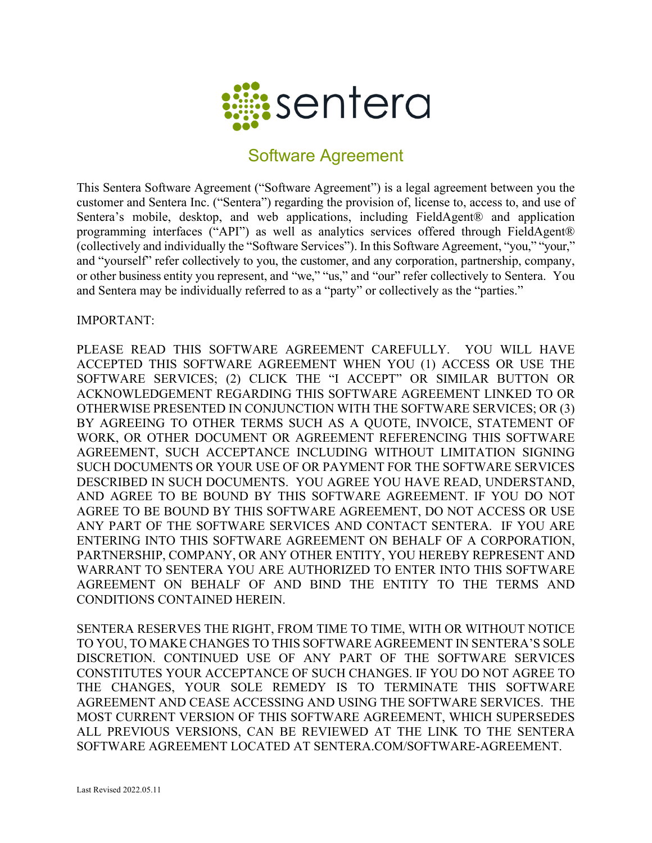

## Software Agreement

This Sentera Software Agreement ("Software Agreement") is a legal agreement between you the customer and Sentera Inc. ("Sentera") regarding the provision of, license to, access to, and use of Sentera's mobile, desktop, and web applications, including FieldAgent<sup>®</sup> and application programming interfaces ("API") as well as analytics services offered through FieldAgent® (collectively and individually the "Software Services"). In this Software Agreement, "you," "your," and "yourself" refer collectively to you, the customer, and any corporation, partnership, company, or other business entity you represent, and "we," "us," and "our" refer collectively to Sentera. You and Sentera may be individually referred to as a "party" or collectively as the "parties."

IMPORTANT:

PLEASE READ THIS SOFTWARE AGREEMENT CAREFULLY. YOU WILL HAVE ACCEPTED THIS SOFTWARE AGREEMENT WHEN YOU (1) ACCESS OR USE THE SOFTWARE SERVICES; (2) CLICK THE "I ACCEPT" OR SIMILAR BUTTON OR ACKNOWLEDGEMENT REGARDING THIS SOFTWARE AGREEMENT LINKED TO OR OTHERWISE PRESENTED IN CONJUNCTION WITH THE SOFTWARE SERVICES; OR (3) BY AGREEING TO OTHER TERMS SUCH AS A QUOTE, INVOICE, STATEMENT OF WORK, OR OTHER DOCUMENT OR AGREEMENT REFERENCING THIS SOFTWARE AGREEMENT, SUCH ACCEPTANCE INCLUDING WITHOUT LIMITATION SIGNING SUCH DOCUMENTS OR YOUR USE OF OR PAYMENT FOR THE SOFTWARE SERVICES DESCRIBED IN SUCH DOCUMENTS. YOU AGREE YOU HAVE READ, UNDERSTAND, AND AGREE TO BE BOUND BY THIS SOFTWARE AGREEMENT. IF YOU DO NOT AGREE TO BE BOUND BY THIS SOFTWARE AGREEMENT, DO NOT ACCESS OR USE ANY PART OF THE SOFTWARE SERVICES AND CONTACT SENTERA. IF YOU ARE ENTERING INTO THIS SOFTWARE AGREEMENT ON BEHALF OF A CORPORATION, PARTNERSHIP, COMPANY, OR ANY OTHER ENTITY, YOU HEREBY REPRESENT AND WARRANT TO SENTERA YOU ARE AUTHORIZED TO ENTER INTO THIS SOFTWARE AGREEMENT ON BEHALF OF AND BIND THE ENTITY TO THE TERMS AND CONDITIONS CONTAINED HEREIN.

SENTERA RESERVES THE RIGHT, FROM TIME TO TIME, WITH OR WITHOUT NOTICE TO YOU, TO MAKE CHANGES TO THIS SOFTWARE AGREEMENT IN SENTERA'S SOLE DISCRETION. CONTINUED USE OF ANY PART OF THE SOFTWARE SERVICES CONSTITUTES YOUR ACCEPTANCE OF SUCH CHANGES. IF YOU DO NOT AGREE TO THE CHANGES, YOUR SOLE REMEDY IS TO TERMINATE THIS SOFTWARE AGREEMENT AND CEASE ACCESSING AND USING THE SOFTWARE SERVICES. THE MOST CURRENT VERSION OF THIS SOFTWARE AGREEMENT, WHICH SUPERSEDES ALL PREVIOUS VERSIONS, CAN BE REVIEWED AT THE LINK TO THE SENTERA SOFTWARE AGREEMENT LOCATED AT SENTERA.COM/SOFTWARE-AGREEMENT.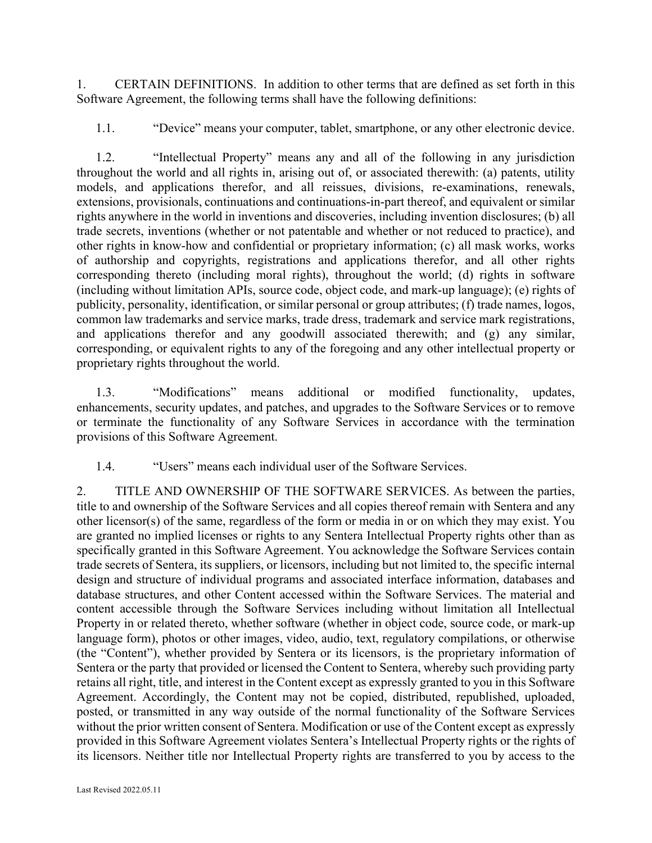1. CERTAIN DEFINITIONS. In addition to other terms that are defined as set forth in this Software Agreement, the following terms shall have the following definitions:

1.1. "Device" means your computer, tablet, smartphone, or any other electronic device.

1.2. "Intellectual Property" means any and all of the following in any jurisdiction throughout the world and all rights in, arising out of, or associated therewith: (a) patents, utility models, and applications therefor, and all reissues, divisions, re-examinations, renewals, extensions, provisionals, continuations and continuations-in-part thereof, and equivalent or similar rights anywhere in the world in inventions and discoveries, including invention disclosures; (b) all trade secrets, inventions (whether or not patentable and whether or not reduced to practice), and other rights in know-how and confidential or proprietary information; (c) all mask works, works of authorship and copyrights, registrations and applications therefor, and all other rights corresponding thereto (including moral rights), throughout the world; (d) rights in software (including without limitation APIs, source code, object code, and mark-up language); (e) rights of publicity, personality, identification, or similar personal or group attributes; (f) trade names, logos, common law trademarks and service marks, trade dress, trademark and service mark registrations, and applications therefor and any goodwill associated therewith; and (g) any similar, corresponding, or equivalent rights to any of the foregoing and any other intellectual property or proprietary rights throughout the world.

1.3. "Modifications" means additional or modified functionality, updates, enhancements, security updates, and patches, and upgrades to the Software Services or to remove or terminate the functionality of any Software Services in accordance with the termination provisions of this Software Agreement.

1.4. "Users" means each individual user of the Software Services.

2. TITLE AND OWNERSHIP OF THE SOFTWARE SERVICES. As between the parties, title to and ownership of the Software Services and all copies thereof remain with Sentera and any other licensor(s) of the same, regardless of the form or media in or on which they may exist. You are granted no implied licenses or rights to any Sentera Intellectual Property rights other than as specifically granted in this Software Agreement. You acknowledge the Software Services contain trade secrets of Sentera, its suppliers, or licensors, including but not limited to, the specific internal design and structure of individual programs and associated interface information, databases and database structures, and other Content accessed within the Software Services. The material and content accessible through the Software Services including without limitation all Intellectual Property in or related thereto, whether software (whether in object code, source code, or mark-up language form), photos or other images, video, audio, text, regulatory compilations, or otherwise (the "Content"), whether provided by Sentera or its licensors, is the proprietary information of Sentera or the party that provided or licensed the Content to Sentera, whereby such providing party retains all right, title, and interest in the Content except as expressly granted to you in this Software Agreement. Accordingly, the Content may not be copied, distributed, republished, uploaded, posted, or transmitted in any way outside of the normal functionality of the Software Services without the prior written consent of Sentera. Modification or use of the Content except as expressly provided in this Software Agreement violates Sentera's Intellectual Property rights or the rights of its licensors. Neither title nor Intellectual Property rights are transferred to you by access to the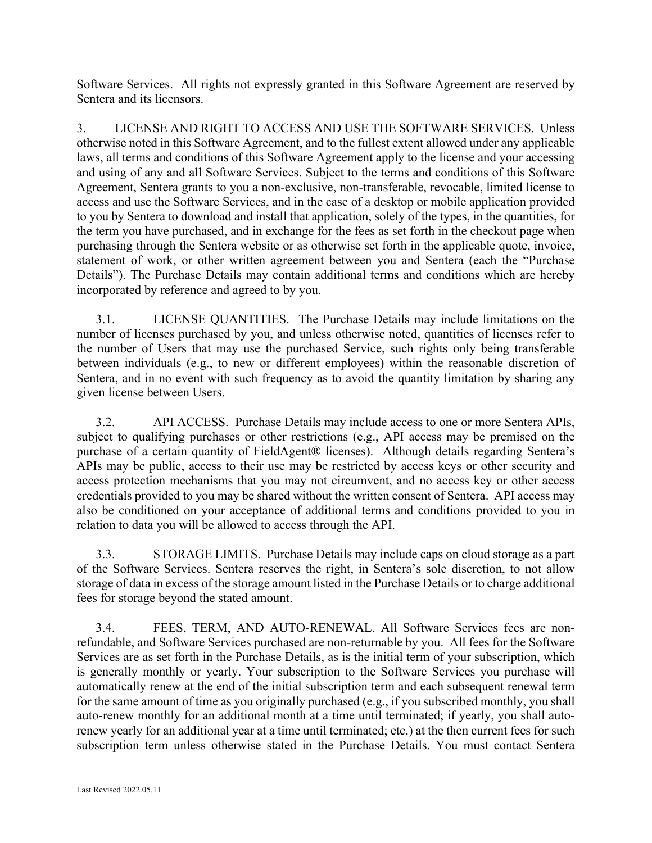Software Services. All rights not expressly granted in this Software Agreement are reserved by Sentera and its licensors.

3. LICENSE AND RIGHT TO ACCESS AND USE THE SOFTWARE SERVICES. Unless otherwise noted in this Software Agreement, and to the fullest extent allowed under any applicable laws, all terms and conditions of this Software Agreement apply to the license and your accessing and using of any and all Software Services. Subject to the terms and conditions of this Software Agreement, Sentera grants to you a non-exclusive, non-transferable, revocable, limited license to access and use the Software Services, and in the case of a desktop or mobile application provided to you by Sentera to download and install that application, solely of the types, in the quantities, for the term you have purchased, and in exchange for the fees as set forth in the checkout page when purchasing through the Sentera website or as otherwise set forth in the applicable quote, invoice, statement of work, or other written agreement between you and Sentera (each the "Purchase Details"). The Purchase Details may contain additional terms and conditions which are hereby incorporated by reference and agreed to by you.

3.1. LICENSE QUANTITIES. The Purchase Details may include limitations on the number of licenses purchased by you, and unless otherwise noted, quantities of licenses refer to the number of Users that may use the purchased Service, such rights only being transferable between individuals (e.g., to new or different employees) within the reasonable discretion of Sentera, and in no event with such frequency as to avoid the quantity limitation by sharing any given license between Users.

3.2. API ACCESS. Purchase Details may include access to one or more Sentera APIs, subject to qualifying purchases or other restrictions (e.g., API access may be premised on the purchase of a certain quantity of FieldAgent® licenses). Although details regarding Sentera's APIs may be public, access to their use may be restricted by access keys or other security and access protection mechanisms that you may not circumvent, and no access key or other access credentials provided to you may be shared without the written consent of Sentera. API access may also be conditioned on your acceptance of additional terms and conditions provided to you in relation to data you will be allowed to access through the API.

3.3. STORAGE LIMITS. Purchase Details may include caps on cloud storage as a part of the Software Services. Sentera reserves the right, in Sentera's sole discretion, to not allow storage of data in excess of the storage amount listed in the Purchase Details or to charge additional fees for storage beyond the stated amount.

3.4. FEES, TERM, AND AUTO-RENEWAL. All Software Services fees are nonrefundable, and Software Services purchased are non-returnable by you. All fees for the Software Services are as set forth in the Purchase Details, as is the initial term of your subscription, which is generally monthly or yearly. Your subscription to the Software Services you purchase will automatically renew at the end of the initial subscription term and each subsequent renewal term for the same amount of time as you originally purchased (e.g., if you subscribed monthly, you shall auto-renew monthly for an additional month at a time until terminated; if yearly, you shall autorenew yearly for an additional year at a time until terminated; etc.) at the then current fees for such subscription term unless otherwise stated in the Purchase Details. You must contact Sentera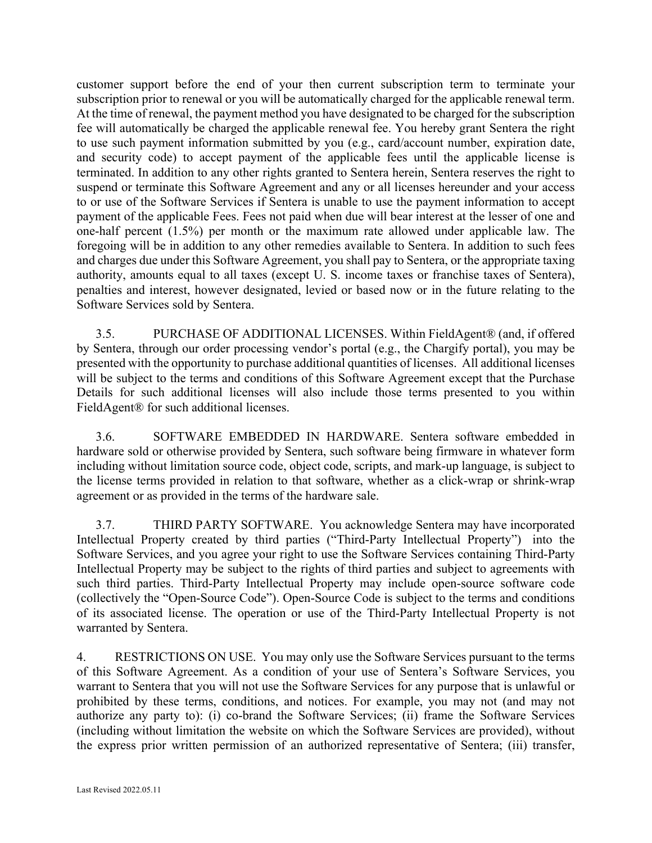customer support before the end of your then current subscription term to terminate your subscription prior to renewal or you will be automatically charged for the applicable renewal term. At the time of renewal, the payment method you have designated to be charged for the subscription fee will automatically be charged the applicable renewal fee. You hereby grant Sentera the right to use such payment information submitted by you (e.g., card/account number, expiration date, and security code) to accept payment of the applicable fees until the applicable license is terminated. In addition to any other rights granted to Sentera herein, Sentera reserves the right to suspend or terminate this Software Agreement and any or all licenses hereunder and your access to or use of the Software Services if Sentera is unable to use the payment information to accept payment of the applicable Fees. Fees not paid when due will bear interest at the lesser of one and one-half percent (1.5%) per month or the maximum rate allowed under applicable law. The foregoing will be in addition to any other remedies available to Sentera. In addition to such fees and charges due under this Software Agreement, you shall pay to Sentera, or the appropriate taxing authority, amounts equal to all taxes (except U. S. income taxes or franchise taxes of Sentera), penalties and interest, however designated, levied or based now or in the future relating to the Software Services sold by Sentera.

3.5. PURCHASE OF ADDITIONAL LICENSES. Within FieldAgent® (and, if offered by Sentera, through our order processing vendor's portal (e.g., the Chargify portal), you may be presented with the opportunity to purchase additional quantities of licenses. All additional licenses will be subject to the terms and conditions of this Software Agreement except that the Purchase Details for such additional licenses will also include those terms presented to you within FieldAgent® for such additional licenses.

3.6. SOFTWARE EMBEDDED IN HARDWARE. Sentera software embedded in hardware sold or otherwise provided by Sentera, such software being firmware in whatever form including without limitation source code, object code, scripts, and mark-up language, is subject to the license terms provided in relation to that software, whether as a click-wrap or shrink-wrap agreement or as provided in the terms of the hardware sale.

3.7. THIRD PARTY SOFTWARE. You acknowledge Sentera may have incorporated Intellectual Property created by third parties ("Third-Party Intellectual Property") into the Software Services, and you agree your right to use the Software Services containing Third-Party Intellectual Property may be subject to the rights of third parties and subject to agreements with such third parties. Third-Party Intellectual Property may include open-source software code (collectively the "Open-Source Code"). Open-Source Code is subject to the terms and conditions of its associated license. The operation or use of the Third-Party Intellectual Property is not warranted by Sentera.

4. RESTRICTIONS ON USE. You may only use the Software Services pursuant to the terms of this Software Agreement. As a condition of your use of Sentera's Software Services, you warrant to Sentera that you will not use the Software Services for any purpose that is unlawful or prohibited by these terms, conditions, and notices. For example, you may not (and may not authorize any party to): (i) co-brand the Software Services; (ii) frame the Software Services (including without limitation the website on which the Software Services are provided), without the express prior written permission of an authorized representative of Sentera; (iii) transfer,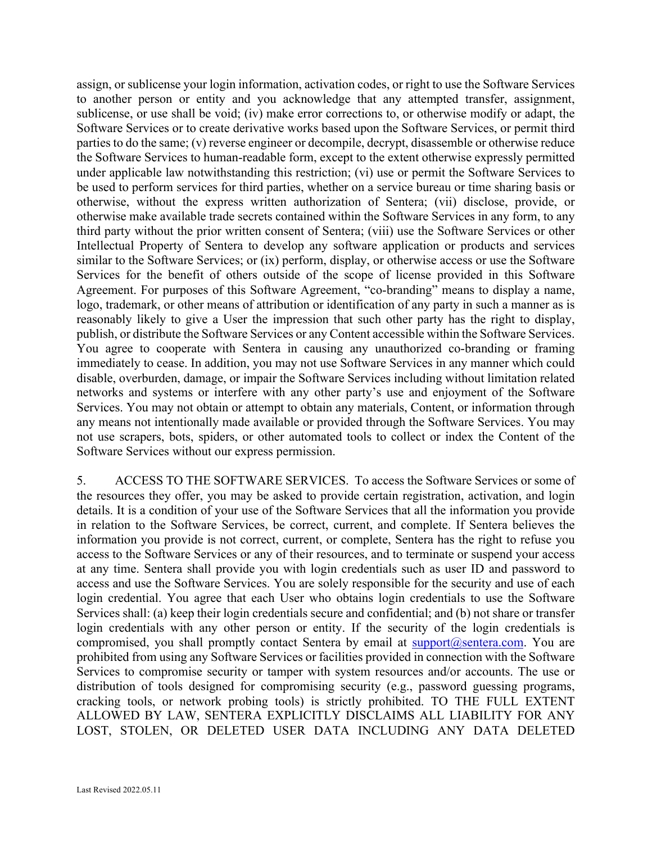assign, or sublicense your login information, activation codes, or right to use the Software Services to another person or entity and you acknowledge that any attempted transfer, assignment, sublicense, or use shall be void; (iv) make error corrections to, or otherwise modify or adapt, the Software Services or to create derivative works based upon the Software Services, or permit third parties to do the same; (v) reverse engineer or decompile, decrypt, disassemble or otherwise reduce the Software Services to human-readable form, except to the extent otherwise expressly permitted under applicable law notwithstanding this restriction; (vi) use or permit the Software Services to be used to perform services for third parties, whether on a service bureau or time sharing basis or otherwise, without the express written authorization of Sentera; (vii) disclose, provide, or otherwise make available trade secrets contained within the Software Services in any form, to any third party without the prior written consent of Sentera; (viii) use the Software Services or other Intellectual Property of Sentera to develop any software application or products and services similar to the Software Services; or (ix) perform, display, or otherwise access or use the Software Services for the benefit of others outside of the scope of license provided in this Software Agreement. For purposes of this Software Agreement, "co-branding" means to display a name, logo, trademark, or other means of attribution or identification of any party in such a manner as is reasonably likely to give a User the impression that such other party has the right to display, publish, or distribute the Software Services or any Content accessible within the Software Services. You agree to cooperate with Sentera in causing any unauthorized co-branding or framing immediately to cease. In addition, you may not use Software Services in any manner which could disable, overburden, damage, or impair the Software Services including without limitation related networks and systems or interfere with any other party's use and enjoyment of the Software Services. You may not obtain or attempt to obtain any materials, Content, or information through any means not intentionally made available or provided through the Software Services. You may not use scrapers, bots, spiders, or other automated tools to collect or index the Content of the Software Services without our express permission.

5. ACCESS TO THE SOFTWARE SERVICES. To access the Software Services or some of the resources they offer, you may be asked to provide certain registration, activation, and login details. It is a condition of your use of the Software Services that all the information you provide in relation to the Software Services, be correct, current, and complete. If Sentera believes the information you provide is not correct, current, or complete, Sentera has the right to refuse you access to the Software Services or any of their resources, and to terminate or suspend your access at any time. Sentera shall provide you with login credentials such as user ID and password to access and use the Software Services. You are solely responsible for the security and use of each login credential. You agree that each User who obtains login credentials to use the Software Services shall: (a) keep their login credentials secure and confidential; and (b) not share or transfer login credentials with any other person or entity. If the security of the login credentials is compromised, you shall promptly contact Sentera by email at  $\frac{\text{support}(a)}{\text{sentence}}$ . You are prohibited from using any Software Services or facilities provided in connection with the Software Services to compromise security or tamper with system resources and/or accounts. The use or distribution of tools designed for compromising security (e.g., password guessing programs, cracking tools, or network probing tools) is strictly prohibited. TO THE FULL EXTENT ALLOWED BY LAW, SENTERA EXPLICITLY DISCLAIMS ALL LIABILITY FOR ANY LOST, STOLEN, OR DELETED USER DATA INCLUDING ANY DATA DELETED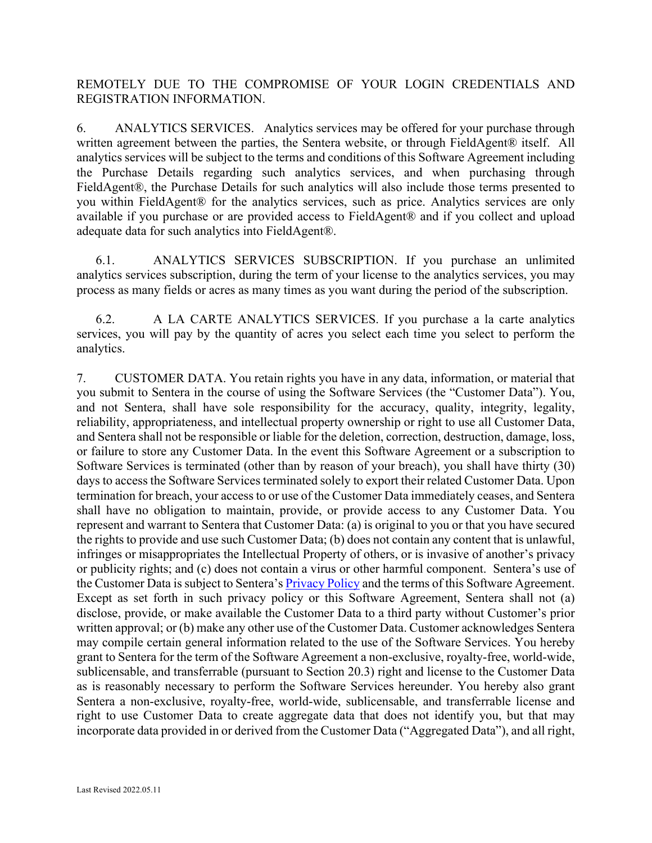REMOTELY DUE TO THE COMPROMISE OF YOUR LOGIN CREDENTIALS AND REGISTRATION INFORMATION.

6. ANALYTICS SERVICES. Analytics services may be offered for your purchase through written agreement between the parties, the Sentera website, or through FieldAgent® itself. All analytics services will be subject to the terms and conditions of this Software Agreement including the Purchase Details regarding such analytics services, and when purchasing through FieldAgent®, the Purchase Details for such analytics will also include those terms presented to you within FieldAgent® for the analytics services, such as price. Analytics services are only available if you purchase or are provided access to FieldAgent® and if you collect and upload adequate data for such analytics into FieldAgent®.

6.1. ANALYTICS SERVICES SUBSCRIPTION. If you purchase an unlimited analytics services subscription, during the term of your license to the analytics services, you may process as many fields or acres as many times as you want during the period of the subscription.

6.2. A LA CARTE ANALYTICS SERVICES. If you purchase a la carte analytics services, you will pay by the quantity of acres you select each time you select to perform the analytics.

7. CUSTOMER DATA. You retain rights you have in any data, information, or material that you submit to Sentera in the course of using the Software Services (the "Customer Data"). You, and not Sentera, shall have sole responsibility for the accuracy, quality, integrity, legality, reliability, appropriateness, and intellectual property ownership or right to use all Customer Data, and Sentera shall not be responsible or liable for the deletion, correction, destruction, damage, loss, or failure to store any Customer Data. In the event this Software Agreement or a subscription to Software Services is terminated (other than by reason of your breach), you shall have thirty (30) days to access the Software Services terminated solely to export their related Customer Data. Upon termination for breach, your access to or use of the Customer Data immediately ceases, and Sentera shall have no obligation to maintain, provide, or provide access to any Customer Data. You represent and warrant to Sentera that Customer Data: (a) is original to you or that you have secured the rights to provide and use such Customer Data; (b) does not contain any content that is unlawful, infringes or misappropriates the Intellectual Property of others, or is invasive of another's privacy or publicity rights; and (c) does not contain a virus or other harmful component. Sentera's use of the Customer Data is subject to Sentera's **Privacy Policy** and the terms of this Software Agreement. Except as set forth in such privacy policy or this Software Agreement, Sentera shall not (a) disclose, provide, or make available the Customer Data to a third party without Customer's prior written approval; or (b) make any other use of the Customer Data. Customer acknowledges Sentera may compile certain general information related to the use of the Software Services. You hereby grant to Sentera for the term of the Software Agreement a non-exclusive, royalty-free, world-wide, sublicensable, and transferrable (pursuant to Section 20.3) right and license to the Customer Data as is reasonably necessary to perform the Software Services hereunder. You hereby also grant Sentera a non-exclusive, royalty-free, world-wide, sublicensable, and transferrable license and right to use Customer Data to create aggregate data that does not identify you, but that may incorporate data provided in or derived from the Customer Data ("Aggregated Data"), and all right,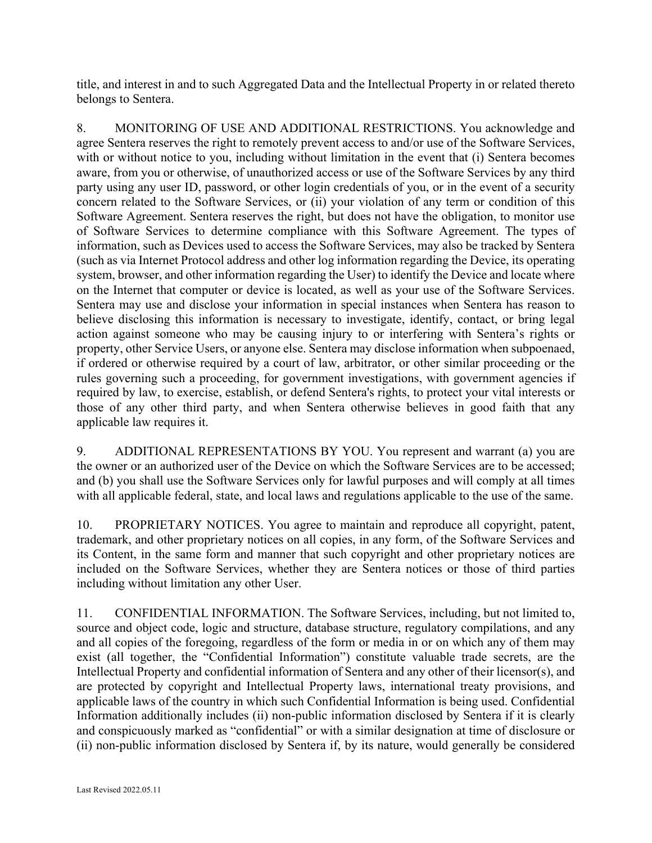title, and interest in and to such Aggregated Data and the Intellectual Property in or related thereto belongs to Sentera.

8. MONITORING OF USE AND ADDITIONAL RESTRICTIONS. You acknowledge and agree Sentera reserves the right to remotely prevent access to and/or use of the Software Services, with or without notice to you, including without limitation in the event that (i) Sentera becomes aware, from you or otherwise, of unauthorized access or use of the Software Services by any third party using any user ID, password, or other login credentials of you, or in the event of a security concern related to the Software Services, or (ii) your violation of any term or condition of this Software Agreement. Sentera reserves the right, but does not have the obligation, to monitor use of Software Services to determine compliance with this Software Agreement. The types of information, such as Devices used to access the Software Services, may also be tracked by Sentera (such as via Internet Protocol address and other log information regarding the Device, its operating system, browser, and other information regarding the User) to identify the Device and locate where on the Internet that computer or device is located, as well as your use of the Software Services. Sentera may use and disclose your information in special instances when Sentera has reason to believe disclosing this information is necessary to investigate, identify, contact, or bring legal action against someone who may be causing injury to or interfering with Sentera's rights or property, other Service Users, or anyone else. Sentera may disclose information when subpoenaed, if ordered or otherwise required by a court of law, arbitrator, or other similar proceeding or the rules governing such a proceeding, for government investigations, with government agencies if required by law, to exercise, establish, or defend Sentera's rights, to protect your vital interests or those of any other third party, and when Sentera otherwise believes in good faith that any applicable law requires it.

9. ADDITIONAL REPRESENTATIONS BY YOU. You represent and warrant (a) you are the owner or an authorized user of the Device on which the Software Services are to be accessed; and (b) you shall use the Software Services only for lawful purposes and will comply at all times with all applicable federal, state, and local laws and regulations applicable to the use of the same.

10. PROPRIETARY NOTICES. You agree to maintain and reproduce all copyright, patent, trademark, and other proprietary notices on all copies, in any form, of the Software Services and its Content, in the same form and manner that such copyright and other proprietary notices are included on the Software Services, whether they are Sentera notices or those of third parties including without limitation any other User.

11. CONFIDENTIAL INFORMATION. The Software Services, including, but not limited to, source and object code, logic and structure, database structure, regulatory compilations, and any and all copies of the foregoing, regardless of the form or media in or on which any of them may exist (all together, the "Confidential Information") constitute valuable trade secrets, are the Intellectual Property and confidential information of Sentera and any other of their licensor(s), and are protected by copyright and Intellectual Property laws, international treaty provisions, and applicable laws of the country in which such Confidential Information is being used. Confidential Information additionally includes (ii) non-public information disclosed by Sentera if it is clearly and conspicuously marked as "confidential" or with a similar designation at time of disclosure or (ii) non-public information disclosed by Sentera if, by its nature, would generally be considered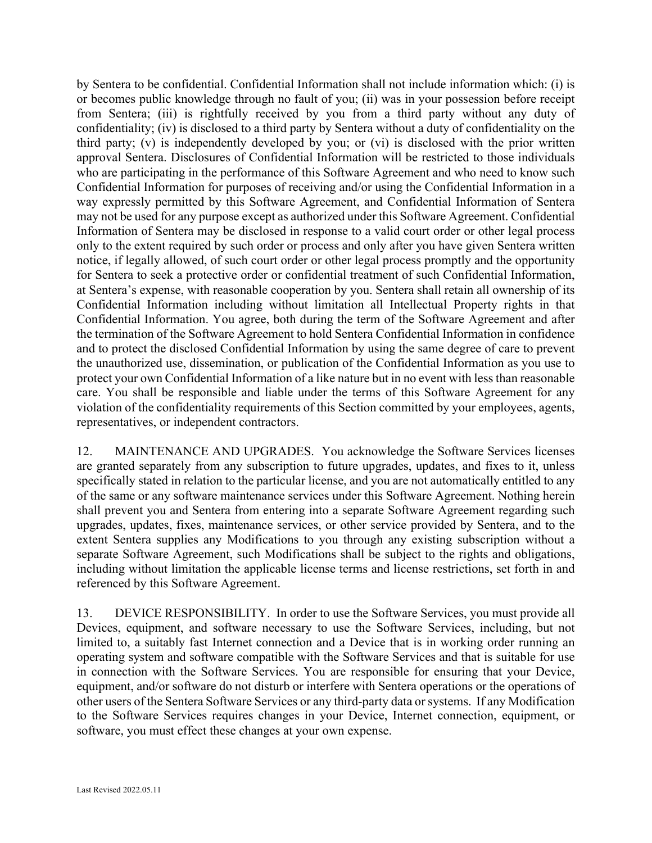by Sentera to be confidential. Confidential Information shall not include information which: (i) is or becomes public knowledge through no fault of you; (ii) was in your possession before receipt from Sentera; (iii) is rightfully received by you from a third party without any duty of confidentiality; (iv) is disclosed to a third party by Sentera without a duty of confidentiality on the third party; (v) is independently developed by you; or (vi) is disclosed with the prior written approval Sentera. Disclosures of Confidential Information will be restricted to those individuals who are participating in the performance of this Software Agreement and who need to know such Confidential Information for purposes of receiving and/or using the Confidential Information in a way expressly permitted by this Software Agreement, and Confidential Information of Sentera may not be used for any purpose except as authorized under this Software Agreement. Confidential Information of Sentera may be disclosed in response to a valid court order or other legal process only to the extent required by such order or process and only after you have given Sentera written notice, if legally allowed, of such court order or other legal process promptly and the opportunity for Sentera to seek a protective order or confidential treatment of such Confidential Information, at Sentera's expense, with reasonable cooperation by you. Sentera shall retain all ownership of its Confidential Information including without limitation all Intellectual Property rights in that Confidential Information. You agree, both during the term of the Software Agreement and after the termination of the Software Agreement to hold Sentera Confidential Information in confidence and to protect the disclosed Confidential Information by using the same degree of care to prevent the unauthorized use, dissemination, or publication of the Confidential Information as you use to protect your own Confidential Information of a like nature but in no event with less than reasonable care. You shall be responsible and liable under the terms of this Software Agreement for any violation of the confidentiality requirements of this Section committed by your employees, agents, representatives, or independent contractors.

12. MAINTENANCE AND UPGRADES. You acknowledge the Software Services licenses are granted separately from any subscription to future upgrades, updates, and fixes to it, unless specifically stated in relation to the particular license, and you are not automatically entitled to any of the same or any software maintenance services under this Software Agreement. Nothing herein shall prevent you and Sentera from entering into a separate Software Agreement regarding such upgrades, updates, fixes, maintenance services, or other service provided by Sentera, and to the extent Sentera supplies any Modifications to you through any existing subscription without a separate Software Agreement, such Modifications shall be subject to the rights and obligations, including without limitation the applicable license terms and license restrictions, set forth in and referenced by this Software Agreement.

13. DEVICE RESPONSIBILITY. In order to use the Software Services, you must provide all Devices, equipment, and software necessary to use the Software Services, including, but not limited to, a suitably fast Internet connection and a Device that is in working order running an operating system and software compatible with the Software Services and that is suitable for use in connection with the Software Services. You are responsible for ensuring that your Device, equipment, and/or software do not disturb or interfere with Sentera operations or the operations of other users of the Sentera Software Services or any third-party data or systems. If any Modification to the Software Services requires changes in your Device, Internet connection, equipment, or software, you must effect these changes at your own expense.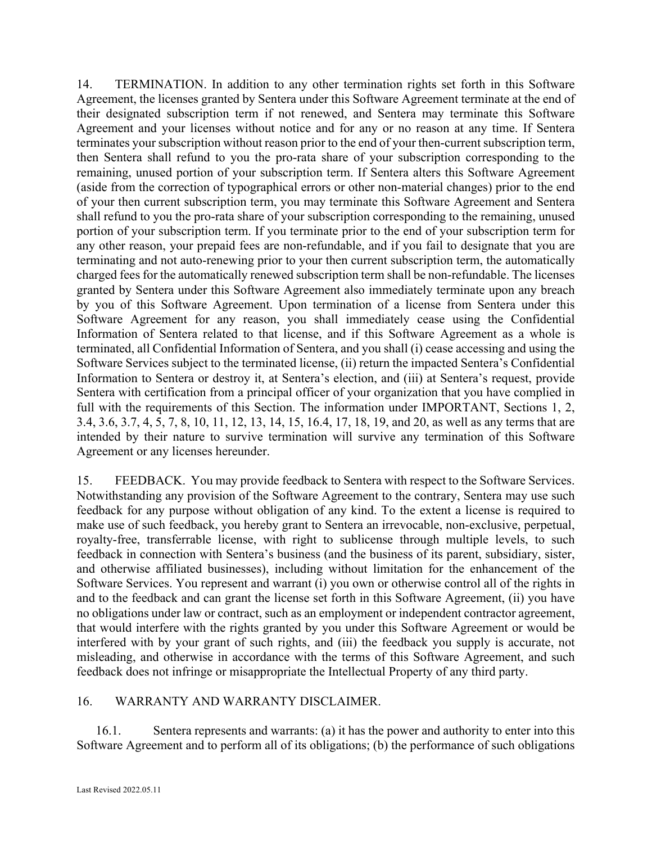14. TERMINATION. In addition to any other termination rights set forth in this Software Agreement, the licenses granted by Sentera under this Software Agreement terminate at the end of their designated subscription term if not renewed, and Sentera may terminate this Software Agreement and your licenses without notice and for any or no reason at any time. If Sentera terminates your subscription without reason prior to the end of your then-current subscription term, then Sentera shall refund to you the pro-rata share of your subscription corresponding to the remaining, unused portion of your subscription term. If Sentera alters this Software Agreement (aside from the correction of typographical errors or other non-material changes) prior to the end of your then current subscription term, you may terminate this Software Agreement and Sentera shall refund to you the pro-rata share of your subscription corresponding to the remaining, unused portion of your subscription term. If you terminate prior to the end of your subscription term for any other reason, your prepaid fees are non-refundable, and if you fail to designate that you are terminating and not auto-renewing prior to your then current subscription term, the automatically charged fees for the automatically renewed subscription term shall be non-refundable. The licenses granted by Sentera under this Software Agreement also immediately terminate upon any breach by you of this Software Agreement. Upon termination of a license from Sentera under this Software Agreement for any reason, you shall immediately cease using the Confidential Information of Sentera related to that license, and if this Software Agreement as a whole is terminated, all Confidential Information of Sentera, and you shall (i) cease accessing and using the Software Services subject to the terminated license, (ii) return the impacted Sentera's Confidential Information to Sentera or destroy it, at Sentera's election, and (iii) at Sentera's request, provide Sentera with certification from a principal officer of your organization that you have complied in full with the requirements of this Section. The information under IMPORTANT, Sections 1, 2, 3.4, 3.6, 3.7, 4, 5, 7, 8, 10, 11, 12, 13, 14, 15, 16.4, 17, 18, 19, and 20, as well as any terms that are intended by their nature to survive termination will survive any termination of this Software Agreement or any licenses hereunder.

15. FEEDBACK. You may provide feedback to Sentera with respect to the Software Services. Notwithstanding any provision of the Software Agreement to the contrary, Sentera may use such feedback for any purpose without obligation of any kind. To the extent a license is required to make use of such feedback, you hereby grant to Sentera an irrevocable, non-exclusive, perpetual, royalty-free, transferrable license, with right to sublicense through multiple levels, to such feedback in connection with Sentera's business (and the business of its parent, subsidiary, sister, and otherwise affiliated businesses), including without limitation for the enhancement of the Software Services. You represent and warrant (i) you own or otherwise control all of the rights in and to the feedback and can grant the license set forth in this Software Agreement, (ii) you have no obligations under law or contract, such as an employment or independent contractor agreement, that would interfere with the rights granted by you under this Software Agreement or would be interfered with by your grant of such rights, and (iii) the feedback you supply is accurate, not misleading, and otherwise in accordance with the terms of this Software Agreement, and such feedback does not infringe or misappropriate the Intellectual Property of any third party.

## 16. WARRANTY AND WARRANTY DISCLAIMER.

16.1. Sentera represents and warrants: (a) it has the power and authority to enter into this Software Agreement and to perform all of its obligations; (b) the performance of such obligations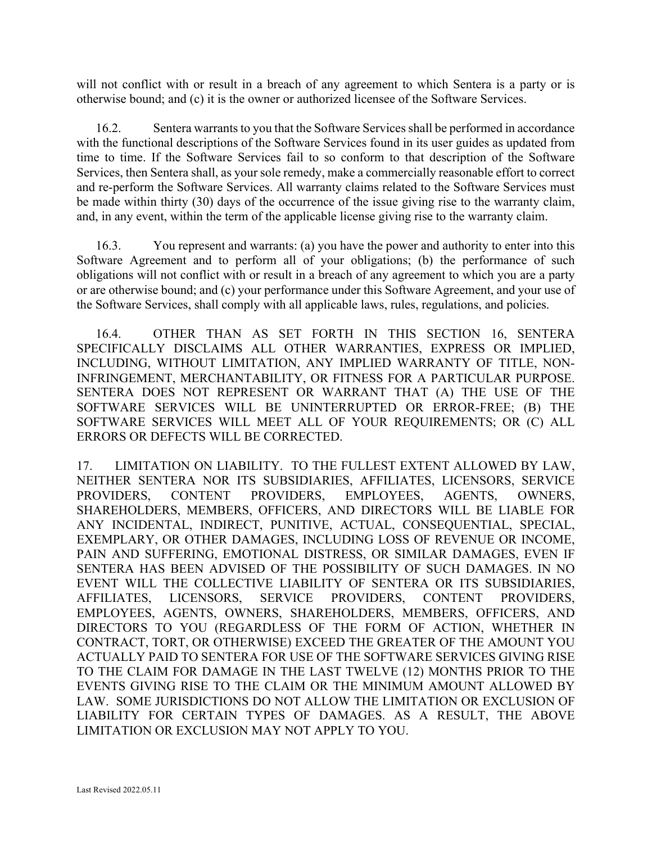will not conflict with or result in a breach of any agreement to which Sentera is a party or is otherwise bound; and (c) it is the owner or authorized licensee of the Software Services.

16.2. Sentera warrants to you that the Software Services shall be performed in accordance with the functional descriptions of the Software Services found in its user guides as updated from time to time. If the Software Services fail to so conform to that description of the Software Services, then Sentera shall, as your sole remedy, make a commercially reasonable effort to correct and re-perform the Software Services. All warranty claims related to the Software Services must be made within thirty (30) days of the occurrence of the issue giving rise to the warranty claim, and, in any event, within the term of the applicable license giving rise to the warranty claim.

16.3. You represent and warrants: (a) you have the power and authority to enter into this Software Agreement and to perform all of your obligations; (b) the performance of such obligations will not conflict with or result in a breach of any agreement to which you are a party or are otherwise bound; and (c) your performance under this Software Agreement, and your use of the Software Services, shall comply with all applicable laws, rules, regulations, and policies.

16.4. OTHER THAN AS SET FORTH IN THIS SECTION 16, SENTERA SPECIFICALLY DISCLAIMS ALL OTHER WARRANTIES, EXPRESS OR IMPLIED, INCLUDING, WITHOUT LIMITATION, ANY IMPLIED WARRANTY OF TITLE, NON-INFRINGEMENT, MERCHANTABILITY, OR FITNESS FOR A PARTICULAR PURPOSE. SENTERA DOES NOT REPRESENT OR WARRANT THAT (A) THE USE OF THE SOFTWARE SERVICES WILL BE UNINTERRUPTED OR ERROR-FREE; (B) THE SOFTWARE SERVICES WILL MEET ALL OF YOUR REQUIREMENTS; OR (C) ALL ERRORS OR DEFECTS WILL BE CORRECTED.

17. LIMITATION ON LIABILITY. TO THE FULLEST EXTENT ALLOWED BY LAW, NEITHER SENTERA NOR ITS SUBSIDIARIES, AFFILIATES, LICENSORS, SERVICE PROVIDERS, CONTENT PROVIDERS, EMPLOYEES, AGENTS, OWNERS, SHAREHOLDERS, MEMBERS, OFFICERS, AND DIRECTORS WILL BE LIABLE FOR ANY INCIDENTAL, INDIRECT, PUNITIVE, ACTUAL, CONSEQUENTIAL, SPECIAL, EXEMPLARY, OR OTHER DAMAGES, INCLUDING LOSS OF REVENUE OR INCOME, PAIN AND SUFFERING, EMOTIONAL DISTRESS, OR SIMILAR DAMAGES, EVEN IF SENTERA HAS BEEN ADVISED OF THE POSSIBILITY OF SUCH DAMAGES. IN NO EVENT WILL THE COLLECTIVE LIABILITY OF SENTERA OR ITS SUBSIDIARIES, AFFILIATES, LICENSORS, SERVICE PROVIDERS, CONTENT PROVIDERS, EMPLOYEES, AGENTS, OWNERS, SHAREHOLDERS, MEMBERS, OFFICERS, AND DIRECTORS TO YOU (REGARDLESS OF THE FORM OF ACTION, WHETHER IN CONTRACT, TORT, OR OTHERWISE) EXCEED THE GREATER OF THE AMOUNT YOU ACTUALLY PAID TO SENTERA FOR USE OF THE SOFTWARE SERVICES GIVING RISE TO THE CLAIM FOR DAMAGE IN THE LAST TWELVE (12) MONTHS PRIOR TO THE EVENTS GIVING RISE TO THE CLAIM OR THE MINIMUM AMOUNT ALLOWED BY LAW. SOME JURISDICTIONS DO NOT ALLOW THE LIMITATION OR EXCLUSION OF LIABILITY FOR CERTAIN TYPES OF DAMAGES. AS A RESULT, THE ABOVE LIMITATION OR EXCLUSION MAY NOT APPLY TO YOU.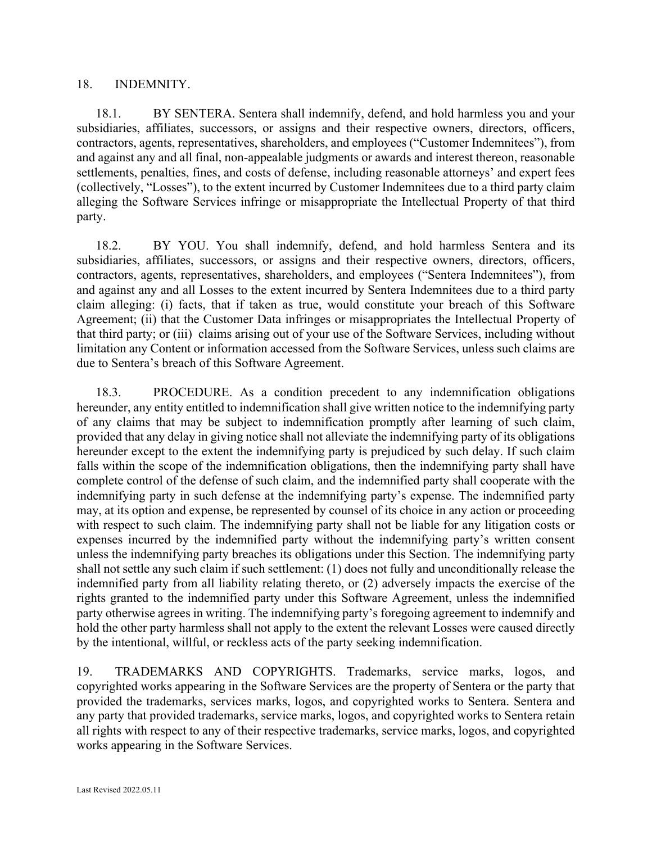## 18. INDEMNITY.

18.1. BY SENTERA. Sentera shall indemnify, defend, and hold harmless you and your subsidiaries, affiliates, successors, or assigns and their respective owners, directors, officers, contractors, agents, representatives, shareholders, and employees ("Customer Indemnitees"), from and against any and all final, non-appealable judgments or awards and interest thereon, reasonable settlements, penalties, fines, and costs of defense, including reasonable attorneys' and expert fees (collectively, "Losses"), to the extent incurred by Customer Indemnitees due to a third party claim alleging the Software Services infringe or misappropriate the Intellectual Property of that third party.

18.2. BY YOU. You shall indemnify, defend, and hold harmless Sentera and its subsidiaries, affiliates, successors, or assigns and their respective owners, directors, officers, contractors, agents, representatives, shareholders, and employees ("Sentera Indemnitees"), from and against any and all Losses to the extent incurred by Sentera Indemnitees due to a third party claim alleging: (i) facts, that if taken as true, would constitute your breach of this Software Agreement; (ii) that the Customer Data infringes or misappropriates the Intellectual Property of that third party; or (iii) claims arising out of your use of the Software Services, including without limitation any Content or information accessed from the Software Services, unless such claims are due to Sentera's breach of this Software Agreement.

18.3. PROCEDURE. As a condition precedent to any indemnification obligations hereunder, any entity entitled to indemnification shall give written notice to the indemnifying party of any claims that may be subject to indemnification promptly after learning of such claim, provided that any delay in giving notice shall not alleviate the indemnifying party of its obligations hereunder except to the extent the indemnifying party is prejudiced by such delay. If such claim falls within the scope of the indemnification obligations, then the indemnifying party shall have complete control of the defense of such claim, and the indemnified party shall cooperate with the indemnifying party in such defense at the indemnifying party's expense. The indemnified party may, at its option and expense, be represented by counsel of its choice in any action or proceeding with respect to such claim. The indemnifying party shall not be liable for any litigation costs or expenses incurred by the indemnified party without the indemnifying party's written consent unless the indemnifying party breaches its obligations under this Section. The indemnifying party shall not settle any such claim if such settlement: (1) does not fully and unconditionally release the indemnified party from all liability relating thereto, or (2) adversely impacts the exercise of the rights granted to the indemnified party under this Software Agreement, unless the indemnified party otherwise agrees in writing. The indemnifying party's foregoing agreement to indemnify and hold the other party harmless shall not apply to the extent the relevant Losses were caused directly by the intentional, willful, or reckless acts of the party seeking indemnification.

19. TRADEMARKS AND COPYRIGHTS. Trademarks, service marks, logos, and copyrighted works appearing in the Software Services are the property of Sentera or the party that provided the trademarks, services marks, logos, and copyrighted works to Sentera. Sentera and any party that provided trademarks, service marks, logos, and copyrighted works to Sentera retain all rights with respect to any of their respective trademarks, service marks, logos, and copyrighted works appearing in the Software Services.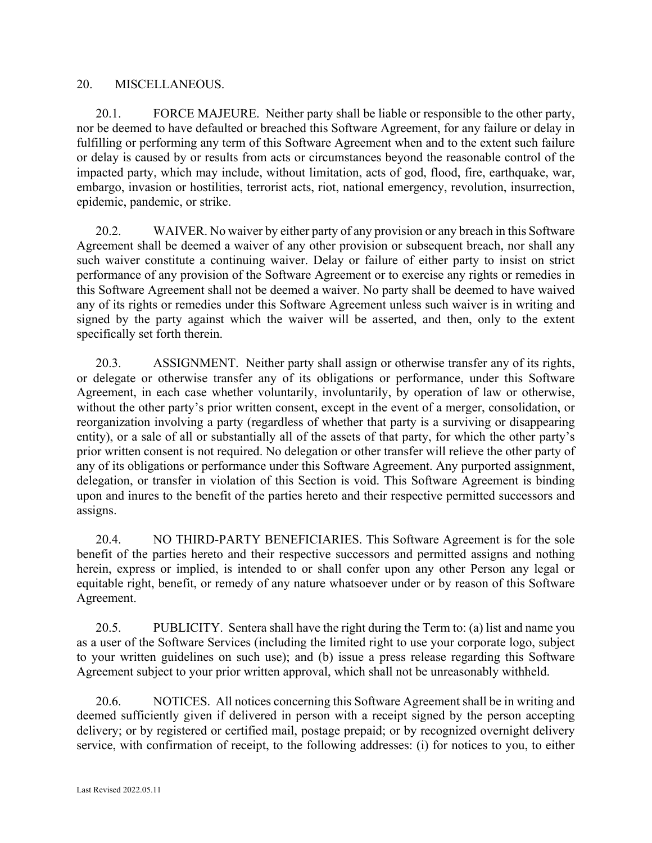## 20. MISCELLANEOUS.

20.1. FORCE MAJEURE. Neither party shall be liable or responsible to the other party, nor be deemed to have defaulted or breached this Software Agreement, for any failure or delay in fulfilling or performing any term of this Software Agreement when and to the extent such failure or delay is caused by or results from acts or circumstances beyond the reasonable control of the impacted party, which may include, without limitation, acts of god, flood, fire, earthquake, war, embargo, invasion or hostilities, terrorist acts, riot, national emergency, revolution, insurrection, epidemic, pandemic, or strike.

20.2. WAIVER. No waiver by either party of any provision or any breach in this Software Agreement shall be deemed a waiver of any other provision or subsequent breach, nor shall any such waiver constitute a continuing waiver. Delay or failure of either party to insist on strict performance of any provision of the Software Agreement or to exercise any rights or remedies in this Software Agreement shall not be deemed a waiver. No party shall be deemed to have waived any of its rights or remedies under this Software Agreement unless such waiver is in writing and signed by the party against which the waiver will be asserted, and then, only to the extent specifically set forth therein.

20.3. ASSIGNMENT. Neither party shall assign or otherwise transfer any of its rights, or delegate or otherwise transfer any of its obligations or performance, under this Software Agreement, in each case whether voluntarily, involuntarily, by operation of law or otherwise, without the other party's prior written consent, except in the event of a merger, consolidation, or reorganization involving a party (regardless of whether that party is a surviving or disappearing entity), or a sale of all or substantially all of the assets of that party, for which the other party's prior written consent is not required. No delegation or other transfer will relieve the other party of any of its obligations or performance under this Software Agreement. Any purported assignment, delegation, or transfer in violation of this Section is void. This Software Agreement is binding upon and inures to the benefit of the parties hereto and their respective permitted successors and assigns.

20.4. NO THIRD-PARTY BENEFICIARIES. This Software Agreement is for the sole benefit of the parties hereto and their respective successors and permitted assigns and nothing herein, express or implied, is intended to or shall confer upon any other Person any legal or equitable right, benefit, or remedy of any nature whatsoever under or by reason of this Software Agreement.

20.5. PUBLICITY. Sentera shall have the right during the Term to: (a) list and name you as a user of the Software Services (including the limited right to use your corporate logo, subject to your written guidelines on such use); and (b) issue a press release regarding this Software Agreement subject to your prior written approval, which shall not be unreasonably withheld.

20.6. NOTICES. All notices concerning this Software Agreement shall be in writing and deemed sufficiently given if delivered in person with a receipt signed by the person accepting delivery; or by registered or certified mail, postage prepaid; or by recognized overnight delivery service, with confirmation of receipt, to the following addresses: (i) for notices to you, to either